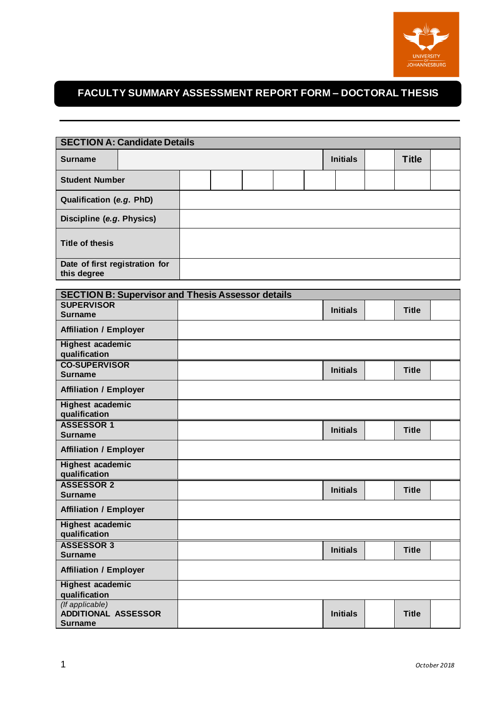

## **FACULTY SUMMARY ASSESSMENT REPORT FORM – DOCTORAL THESIS**

| <b>SECTION A: Candidate Details</b>           |  |  |  |  |                 |              |  |  |  |
|-----------------------------------------------|--|--|--|--|-----------------|--------------|--|--|--|
| <b>Surname</b>                                |  |  |  |  | <b>Initials</b> | <b>Title</b> |  |  |  |
| <b>Student Number</b>                         |  |  |  |  |                 |              |  |  |  |
| <b>Qualification (e.g. PhD)</b>               |  |  |  |  |                 |              |  |  |  |
| Discipline (e.g. Physics)                     |  |  |  |  |                 |              |  |  |  |
| <b>Title of thesis</b>                        |  |  |  |  |                 |              |  |  |  |
| Date of first registration for<br>this degree |  |  |  |  |                 |              |  |  |  |

| <b>SECTION B: Supervisor and Thesis Assessor details</b> |                 |              |  |
|----------------------------------------------------------|-----------------|--------------|--|
| <b>SUPERVISOR</b>                                        | <b>Initials</b> | <b>Title</b> |  |
| <b>Surname</b>                                           |                 |              |  |
| <b>Affiliation / Employer</b>                            |                 |              |  |
| <b>Highest academic</b>                                  |                 |              |  |
| qualification                                            |                 |              |  |
| <b>CO-SUPERVISOR</b>                                     | <b>Initials</b> | <b>Title</b> |  |
| <b>Surname</b>                                           |                 |              |  |
| <b>Affiliation / Employer</b>                            |                 |              |  |
| Highest academic                                         |                 |              |  |
| qualification                                            |                 |              |  |
| <b>ASSESSOR 1</b>                                        | <b>Initials</b> | <b>Title</b> |  |
| <b>Surname</b>                                           |                 |              |  |
| <b>Affiliation / Employer</b>                            |                 |              |  |
| Highest academic                                         |                 |              |  |
| qualification                                            |                 |              |  |
| <b>ASSESSOR 2</b><br><b>Surname</b>                      | <b>Initials</b> | <b>Title</b> |  |
|                                                          |                 |              |  |
| <b>Affiliation / Employer</b>                            |                 |              |  |
| Highest academic                                         |                 |              |  |
| qualification                                            |                 |              |  |
| <b>ASSESSOR 3</b>                                        | <b>Initials</b> | <b>Title</b> |  |
| <b>Surname</b>                                           |                 |              |  |
| <b>Affiliation / Employer</b>                            |                 |              |  |
| <b>Highest academic</b>                                  |                 |              |  |
| qualification                                            |                 |              |  |
| (If applicable)                                          |                 |              |  |
| <b>ADDITIONAL ASSESSOR</b>                               | <b>Initials</b> | <b>Title</b> |  |
| <b>Surname</b>                                           |                 |              |  |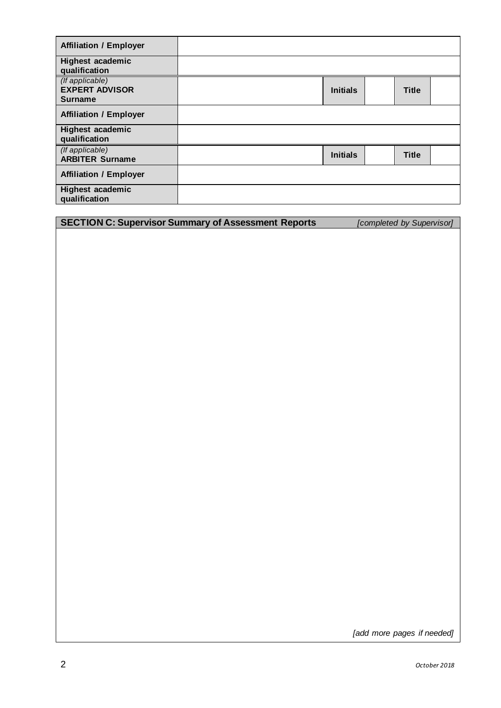| <b>Affiliation / Employer</b>                              |                 |              |  |
|------------------------------------------------------------|-----------------|--------------|--|
| <b>Highest academic</b><br>qualification                   |                 |              |  |
| (If applicable)<br><b>EXPERT ADVISOR</b><br><b>Surname</b> | <b>Initials</b> | <b>Title</b> |  |
| <b>Affiliation / Employer</b>                              |                 |              |  |
| Highest academic<br>qualification                          |                 |              |  |
| (If applicable)<br><b>ARBITER Surname</b>                  | <b>Initials</b> | <b>Title</b> |  |
| <b>Affiliation / Employer</b>                              |                 |              |  |
| <b>Highest academic</b><br>qualification                   |                 |              |  |

**SECTION C: Supervisor Summary of Assessment Reports** *[completed by Supervisor]*

 *[add more pages if needed]*